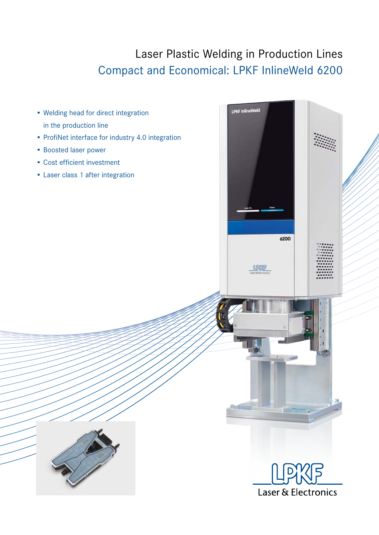## Laser Plastic Welding in Production Lines Compact and Economical: LPKF InlineWeld 6200

**LPKF InlineWeld** 

- Welding head for direct integration in the production line
- ProfiNet interface for industry 4.0 integration
- Boosted laser power
- Cost efficient investment
- Laser class 1 after integration



6200